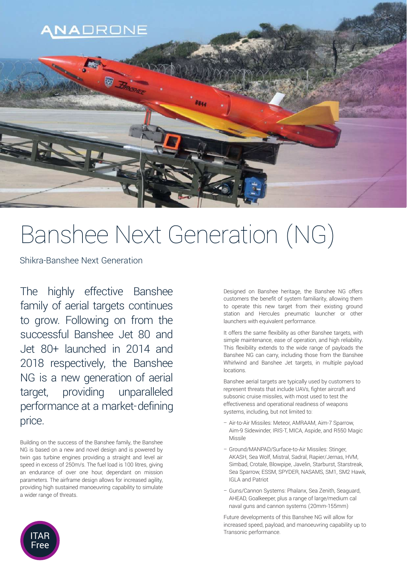

# Banshee Next Generation (NG)

Shikra-Banshee Next Generation

The highly effective Banshee family of aerial targets continues to grow. Following on from the successful Banshee Jet 80 and Jet 80+ launched in 2014 and 2018 respectively, the Banshee NG is a new generation of aerial target, providing unparalleled performance at a market-defining price.

Building on the success of the Banshee family, the Banshee NG is based on a new and novel design and is powered by twin gas turbine engines providing a straight and level air speed in excess of 250m/s. The fuel load is 100 litres, giving an endurance of over one hour, dependant on mission parameters. The airframe design allows for increased agility, providing high sustained manoeuvring capability to simulate a wider range of threats.

Designed on Banshee heritage, the Banshee NG offers customers the benefit of system familiarity, allowing them to operate this new target from their existing ground station and Hercules pneumatic launcher or other launchers with equivalent performance.

It offers the same flexibility as other Banshee targets, with simple maintenance, ease of operation, and high reliability. This flexibility extends to the wide range of payloads the Banshee NG can carry, including those from the Banshee Whirlwind and Banshee Jet targets, in multiple payload locations.

Banshee aerial targets are typically used by customers to represent threats that include UAVs, fighter aircraft and subsonic cruise missiles, with most used to test the effectiveness and operational readiness of weapons systems, including, but not limited to:

- Air-to-Air Missiles: Meteor, AMRAAM, Aim-7 Sparrow, Aim-9 Sidewinder, IRIS-T, MICA, Aspide, and R550 Magic Missile
- Ground/MANPAD/Surface-to-Air Missiles: Stinger, AKASH, Sea Wolf, Mistral, Sadral, Rapier/Jernas, HVM, Simbad, Crotale, Blowpipe, Javelin, Starburst, Starstreak, Sea Sparrow, ESSM, SPYDER, NASAMS, SM1, SM2 Hawk, IGLA and Patriot
- Guns/Cannon Systems: Phalanx, Sea Zenith, Seaguard, AHEAD, Goalkeeper, plus a range of large/medium cal naval guns and cannon systems (20mm-155mm)

Future developments of this Banshee NG will allow for increased speed, payload, and manoeuvring capability up to Transonic performance.